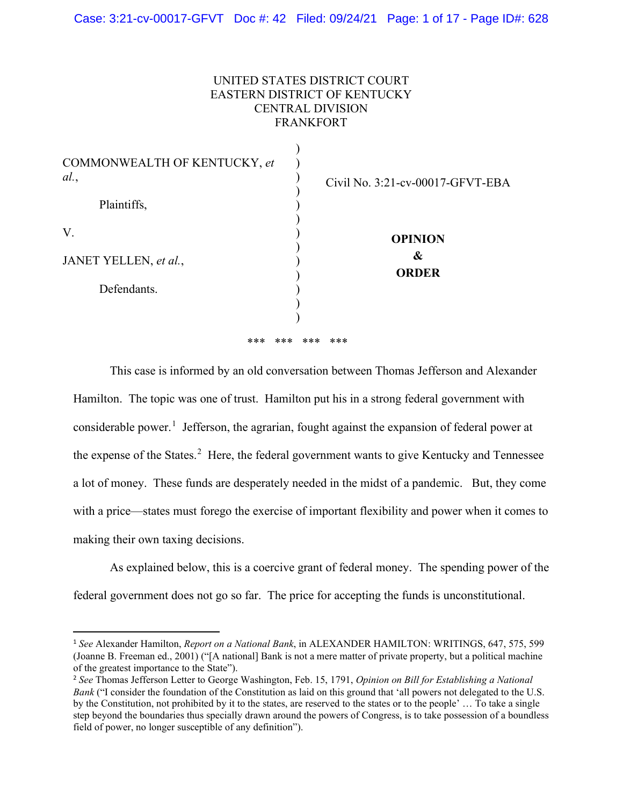# UNITED STATES DISTRICT COURT EASTERN DISTRICT OF KENTUCKY CENTRAL DIVISION FRANKFORT

| COMMONWEALTH OF KENTUCKY, et<br>al.<br>Plaintiffs, | Civil No. 3:21-cv-00017-GFVT-EBA |
|----------------------------------------------------|----------------------------------|
|                                                    |                                  |
| V.                                                 | <b>OPINION</b>                   |
| JANET YELLEN, et al.,                              | &<br><b>ORDER</b>                |
| Defendants.                                        |                                  |
|                                                    |                                  |
|                                                    |                                  |
| ***                                                | ***<br>***<br>***                |

This case is informed by an old conversation between Thomas Jefferson and Alexander Hamilton. The topic was one of trust. Hamilton put his in a strong federal government with considerable power.<sup>1</sup> Jefferson, the agrarian, fought against the expansion of federal power at the expense of the States.<sup>2</sup> Here, the federal government wants to give Kentucky and Tennessee a lot of money. These funds are desperately needed in the midst of a pandemic. But, they come with a price—states must forego the exercise of important flexibility and power when it comes to making their own taxing decisions.

 As explained below, this is a coercive grant of federal money. The spending power of the federal government does not go so far. The price for accepting the funds is unconstitutional.

<sup>1</sup> *See* Alexander Hamilton, *Report on a National Bank*, in ALEXANDER HAMILTON: WRITINGS, 647, 575, 599 (Joanne B. Freeman ed., 2001) ("[A national] Bank is not a mere matter of private property, but a political machine of the greatest importance to the State").

<sup>2</sup> *See* Thomas Jefferson Letter to George Washington, Feb. 15, 1791, *Opinion on Bill for Establishing a National Bank* ("I consider the foundation of the Constitution as laid on this ground that 'all powers not delegated to the U.S. by the Constitution, not prohibited by it to the states, are reserved to the states or to the people' … To take a single step beyond the boundaries thus specially drawn around the powers of Congress, is to take possession of a boundless field of power, no longer susceptible of any definition").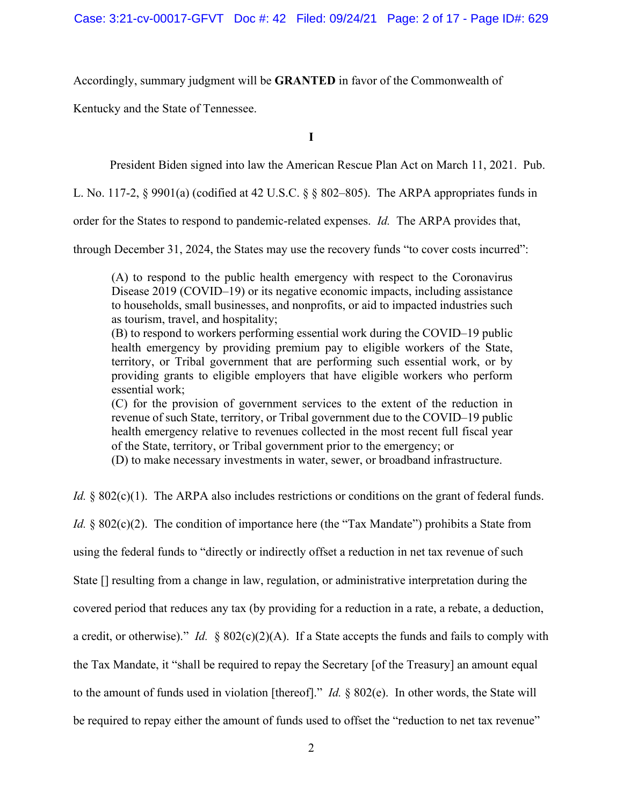Accordingly, summary judgment will be **GRANTED** in favor of the Commonwealth of

Kentucky and the State of Tennessee.

**I** 

President Biden signed into law the American Rescue Plan Act on March 11, 2021. Pub.

L. No. 117-2, § 9901(a) (codified at 42 U.S.C. § § 802–805). The ARPA appropriates funds in

order for the States to respond to pandemic-related expenses. *Id.* The ARPA provides that,

through December 31, 2024, the States may use the recovery funds "to cover costs incurred":

(A) to respond to the public health emergency with respect to the Coronavirus Disease 2019 (COVID–19) or its negative economic impacts, including assistance to households, small businesses, and nonprofits, or aid to impacted industries such as tourism, travel, and hospitality;

(B) to respond to workers performing essential work during the COVID–19 public health emergency by providing premium pay to eligible workers of the State, territory, or Tribal government that are performing such essential work, or by providing grants to eligible employers that have eligible workers who perform essential work;

(C) for the provision of government services to the extent of the reduction in revenue of such State, territory, or Tribal government due to the COVID–19 public health emergency relative to revenues collected in the most recent full fiscal year of the State, territory, or Tribal government prior to the emergency; or

(D) to make necessary investments in water, sewer, or broadband infrastructure.

*Id.* § 802(c)(1). The ARPA also includes restrictions or conditions on the grant of federal funds.

*Id.* § 802(c)(2). The condition of importance here (the "Tax Mandate") prohibits a State from

using the federal funds to "directly or indirectly offset a reduction in net tax revenue of such

State [] resulting from a change in law, regulation, or administrative interpretation during the

covered period that reduces any tax (by providing for a reduction in a rate, a rebate, a deduction,

a credit, or otherwise)." *Id.* § 802(c)(2)(A). If a State accepts the funds and fails to comply with

the Tax Mandate, it "shall be required to repay the Secretary [of the Treasury] an amount equal

to the amount of funds used in violation [thereof]." *Id.* § 802(e). In other words, the State will

be required to repay either the amount of funds used to offset the "reduction to net tax revenue"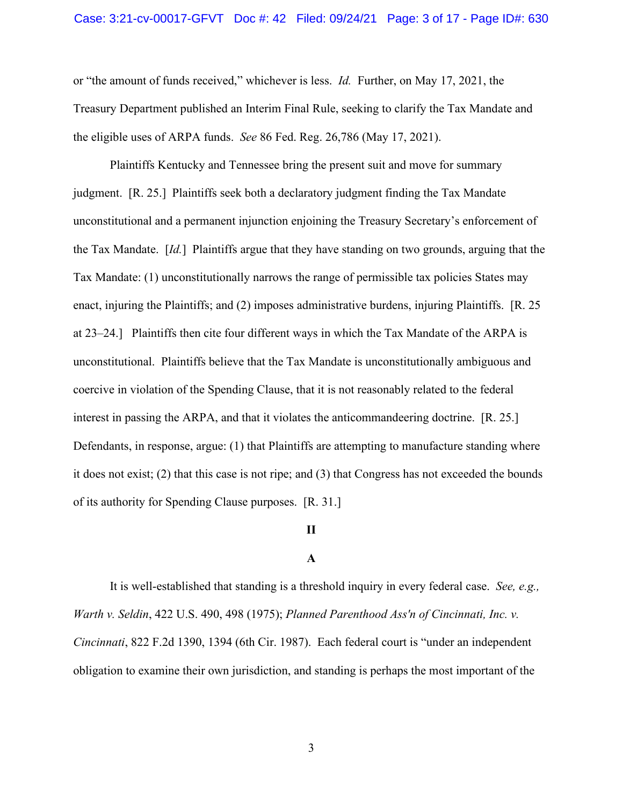or "the amount of funds received," whichever is less. *Id.* Further, on May 17, 2021, the Treasury Department published an Interim Final Rule, seeking to clarify the Tax Mandate and the eligible uses of ARPA funds. *See* 86 Fed. Reg. 26,786 (May 17, 2021).

 Plaintiffs Kentucky and Tennessee bring the present suit and move for summary judgment. [R. 25.] Plaintiffs seek both a declaratory judgment finding the Tax Mandate unconstitutional and a permanent injunction enjoining the Treasury Secretary's enforcement of the Tax Mandate. [*Id.*] Plaintiffs argue that they have standing on two grounds, arguing that the Tax Mandate: (1) unconstitutionally narrows the range of permissible tax policies States may enact, injuring the Plaintiffs; and (2) imposes administrative burdens, injuring Plaintiffs. [R. 25 at 23–24.] Plaintiffs then cite four different ways in which the Tax Mandate of the ARPA is unconstitutional. Plaintiffs believe that the Tax Mandate is unconstitutionally ambiguous and coercive in violation of the Spending Clause, that it is not reasonably related to the federal interest in passing the ARPA, and that it violates the anticommandeering doctrine. [R. 25.] Defendants, in response, argue: (1) that Plaintiffs are attempting to manufacture standing where it does not exist; (2) that this case is not ripe; and (3) that Congress has not exceeded the bounds of its authority for Spending Clause purposes. [R. 31.]

## **II**

## **A**

It is well-established that standing is a threshold inquiry in every federal case. *See, e.g., Warth v. Seldin*, 422 U.S. 490, 498 (1975); *Planned Parenthood Ass'n of Cincinnati, Inc. v. Cincinnati*, 822 F.2d 1390, 1394 (6th Cir. 1987). Each federal court is "under an independent obligation to examine their own jurisdiction, and standing is perhaps the most important of the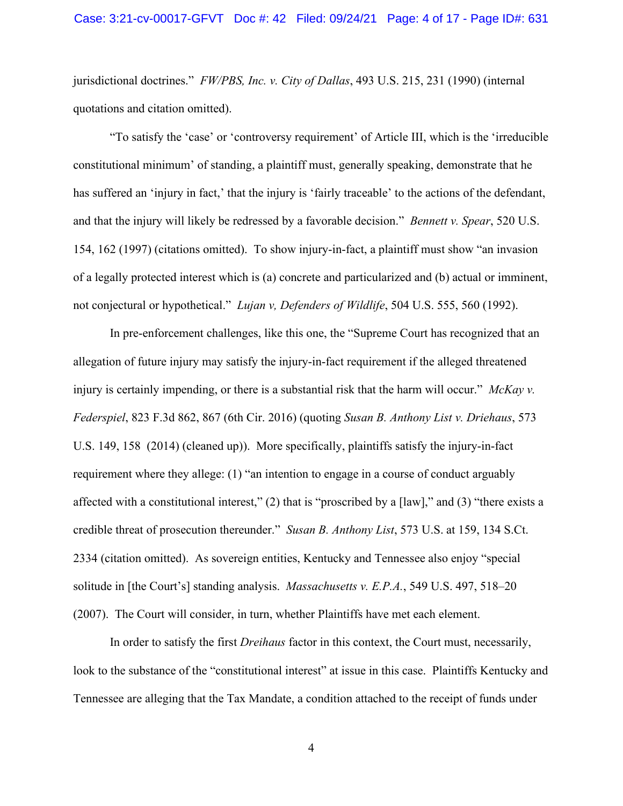jurisdictional doctrines." *FW/PBS, Inc. v. City of Dallas*, 493 U.S. 215, 231 (1990) (internal quotations and citation omitted).

"To satisfy the 'case' or 'controversy requirement' of Article III, which is the 'irreducible constitutional minimum' of standing, a plaintiff must, generally speaking, demonstrate that he has suffered an 'injury in fact,' that the injury is 'fairly traceable' to the actions of the defendant, and that the injury will likely be redressed by a favorable decision." *Bennett v. Spear*, 520 U.S. 154, 162 (1997) (citations omitted). To show injury-in-fact, a plaintiff must show "an invasion of a legally protected interest which is (a) concrete and particularized and (b) actual or imminent, not conjectural or hypothetical." *Lujan v, Defenders of Wildlife*, 504 U.S. 555, 560 (1992).

In pre-enforcement challenges, like this one, the "Supreme Court has recognized that an allegation of future injury may satisfy the injury-in-fact requirement if the alleged threatened injury is certainly impending, or there is a substantial risk that the harm will occur." *McKay v. Federspiel*, 823 F.3d 862, 867 (6th Cir. 2016) (quoting *Susan B. Anthony List v. Driehaus*, 573 U.S. 149, 158 (2014) (cleaned up)). More specifically, plaintiffs satisfy the injury-in-fact requirement where they allege: (1) "an intention to engage in a course of conduct arguably affected with a constitutional interest,"  $(2)$  that is "proscribed by a [law]," and  $(3)$  "there exists a credible threat of prosecution thereunder." *Susan B. Anthony List*, 573 U.S. at 159, 134 S.Ct. 2334 (citation omitted). As sovereign entities, Kentucky and Tennessee also enjoy "special solitude in [the Court's] standing analysis. *Massachusetts v. E.P.A.*, 549 U.S. 497, 518–20 (2007). The Court will consider, in turn, whether Plaintiffs have met each element.

In order to satisfy the first *Dreihaus* factor in this context, the Court must, necessarily, look to the substance of the "constitutional interest" at issue in this case. Plaintiffs Kentucky and Tennessee are alleging that the Tax Mandate, a condition attached to the receipt of funds under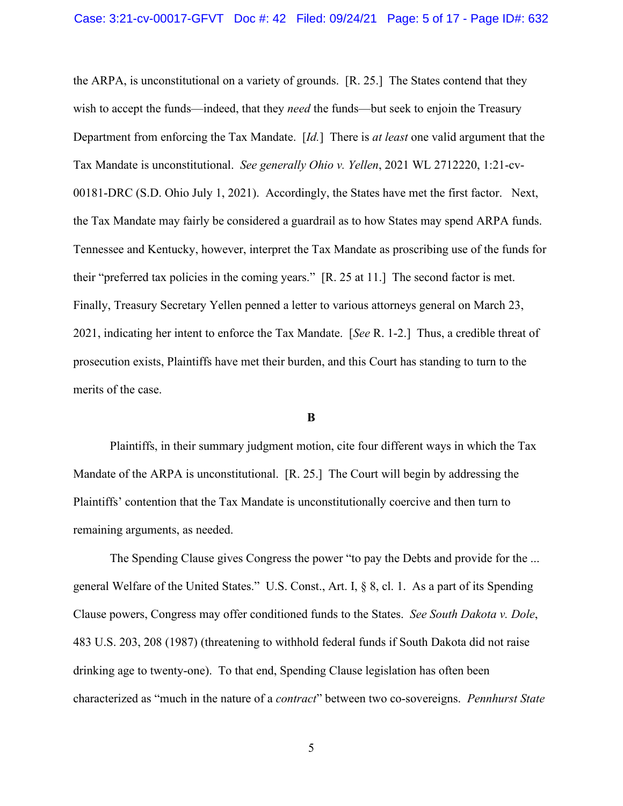the ARPA, is unconstitutional on a variety of grounds. [R. 25.] The States contend that they wish to accept the funds—indeed, that they *need* the funds—but seek to enjoin the Treasury Department from enforcing the Tax Mandate. [*Id.*] There is *at least* one valid argument that the Tax Mandate is unconstitutional. *See generally Ohio v. Yellen*, 2021 WL 2712220, 1:21-cv-00181-DRC (S.D. Ohio July 1, 2021). Accordingly, the States have met the first factor. Next, the Tax Mandate may fairly be considered a guardrail as to how States may spend ARPA funds. Tennessee and Kentucky, however, interpret the Tax Mandate as proscribing use of the funds for their "preferred tax policies in the coming years." [R. 25 at 11.] The second factor is met. Finally, Treasury Secretary Yellen penned a letter to various attorneys general on March 23, 2021, indicating her intent to enforce the Tax Mandate. [*See* R. 1-2.] Thus, a credible threat of prosecution exists, Plaintiffs have met their burden, and this Court has standing to turn to the merits of the case.

#### **B**

Plaintiffs, in their summary judgment motion, cite four different ways in which the Tax Mandate of the ARPA is unconstitutional. [R. 25.] The Court will begin by addressing the Plaintiffs' contention that the Tax Mandate is unconstitutionally coercive and then turn to remaining arguments, as needed.

The Spending Clause gives Congress the power "to pay the Debts and provide for the ... general Welfare of the United States." U.S. Const., Art. I, § 8, cl. 1. As a part of its Spending Clause powers, Congress may offer conditioned funds to the States. *See South Dakota v. Dole*, 483 U.S. 203, 208 (1987) (threatening to withhold federal funds if South Dakota did not raise drinking age to twenty-one). To that end, Spending Clause legislation has often been characterized as "much in the nature of a *contract*" between two co-sovereigns. *Pennhurst State*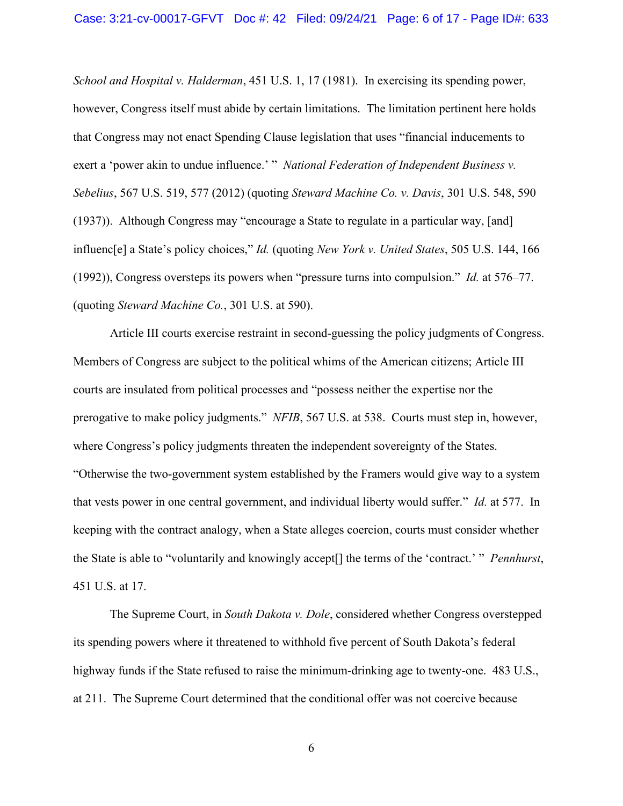*School and Hospital v. Halderman*, 451 U.S. 1, 17 (1981). In exercising its spending power, however, Congress itself must abide by certain limitations. The limitation pertinent here holds that Congress may not enact Spending Clause legislation that uses "financial inducements to exert a 'power akin to undue influence.' " *National Federation of Independent Business v. Sebelius*, 567 U.S. 519, 577 (2012) (quoting *Steward Machine Co. v. Davis*, 301 U.S. 548, 590 (1937)). Although Congress may "encourage a State to regulate in a particular way, [and] influenc[e] a State's policy choices," *Id.* (quoting *New York v. United States*, 505 U.S. 144, 166 (1992)), Congress oversteps its powers when "pressure turns into compulsion." *Id.* at 576–77. (quoting *Steward Machine Co.*, 301 U.S. at 590).

Article III courts exercise restraint in second-guessing the policy judgments of Congress. Members of Congress are subject to the political whims of the American citizens; Article III courts are insulated from political processes and "possess neither the expertise nor the prerogative to make policy judgments." *NFIB*, 567 U.S. at 538. Courts must step in, however, where Congress's policy judgments threaten the independent sovereignty of the States. "Otherwise the two-government system established by the Framers would give way to a system that vests power in one central government, and individual liberty would suffer." *Id.* at 577. In keeping with the contract analogy, when a State alleges coercion, courts must consider whether the State is able to "voluntarily and knowingly accept[] the terms of the 'contract.' " *Pennhurst*, 451 U.S. at 17.

The Supreme Court, in *South Dakota v. Dole*, considered whether Congress overstepped its spending powers where it threatened to withhold five percent of South Dakota's federal highway funds if the State refused to raise the minimum-drinking age to twenty-one. 483 U.S., at 211. The Supreme Court determined that the conditional offer was not coercive because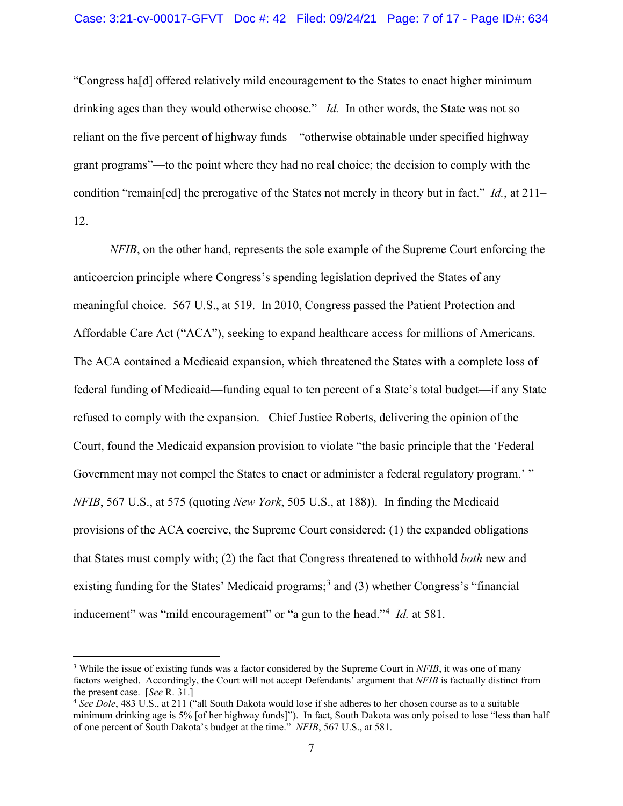"Congress ha[d] offered relatively mild encouragement to the States to enact higher minimum drinking ages than they would otherwise choose." *Id.* In other words, the State was not so reliant on the five percent of highway funds—"otherwise obtainable under specified highway grant programs"—to the point where they had no real choice; the decision to comply with the condition "remain[ed] the prerogative of the States not merely in theory but in fact." *Id.*, at 211– 12.

*NFIB*, on the other hand, represents the sole example of the Supreme Court enforcing the anticoercion principle where Congress's spending legislation deprived the States of any meaningful choice. 567 U.S., at 519. In 2010, Congress passed the Patient Protection and Affordable Care Act ("ACA"), seeking to expand healthcare access for millions of Americans. The ACA contained a Medicaid expansion, which threatened the States with a complete loss of federal funding of Medicaid—funding equal to ten percent of a State's total budget—if any State refused to comply with the expansion. Chief Justice Roberts, delivering the opinion of the Court, found the Medicaid expansion provision to violate "the basic principle that the 'Federal Government may not compel the States to enact or administer a federal regulatory program.' " *NFIB*, 567 U.S., at 575 (quoting *New York*, 505 U.S., at 188)). In finding the Medicaid provisions of the ACA coercive, the Supreme Court considered: (1) the expanded obligations that States must comply with; (2) the fact that Congress threatened to withhold *both* new and existing funding for the States' Medicaid programs;<sup>3</sup> and (3) whether Congress's "financial inducement" was "mild encouragement" or "a gun to the head."<sup>4</sup> *Id.* at 581.

<sup>&</sup>lt;sup>3</sup> While the issue of existing funds was a factor considered by the Supreme Court in *NFIB*, it was one of many factors weighed. Accordingly, the Court will not accept Defendants' argument that *NFIB* is factually distinct from the present case. [*See* R. 31.]

<sup>4</sup> *See Dole*, 483 U.S., at 211 ("all South Dakota would lose if she adheres to her chosen course as to a suitable minimum drinking age is 5% [of her highway funds]"). In fact, South Dakota was only poised to lose "less than half of one percent of South Dakota's budget at the time." *NFIB*, 567 U.S., at 581.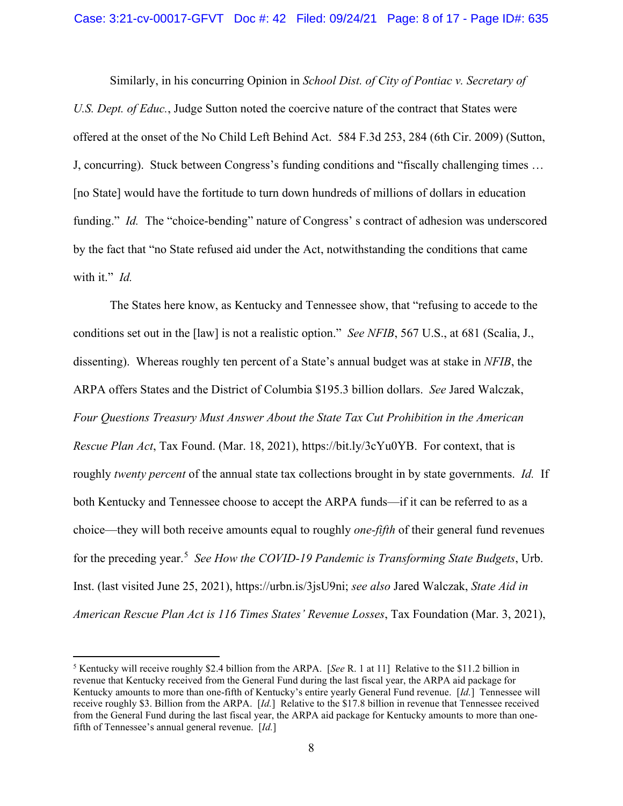Similarly, in his concurring Opinion in *School Dist. of City of Pontiac v. Secretary of U.S. Dept. of Educ.*, Judge Sutton noted the coercive nature of the contract that States were offered at the onset of the No Child Left Behind Act. 584 F.3d 253, 284 (6th Cir. 2009) (Sutton, J, concurring). Stuck between Congress's funding conditions and "fiscally challenging times … [no State] would have the fortitude to turn down hundreds of millions of dollars in education funding." *Id.* The "choice-bending" nature of Congress' s contract of adhesion was underscored by the fact that "no State refused aid under the Act, notwithstanding the conditions that came with it." *Id.*

The States here know, as Kentucky and Tennessee show, that "refusing to accede to the conditions set out in the [law] is not a realistic option." *See NFIB*, 567 U.S., at 681 (Scalia, J., dissenting). Whereas roughly ten percent of a State's annual budget was at stake in *NFIB*, the ARPA offers States and the District of Columbia \$195.3 billion dollars. *See* Jared Walczak, *Four Questions Treasury Must Answer About the State Tax Cut Prohibition in the American Rescue Plan Act*, Tax Found. (Mar. 18, 2021), https://bit.ly/3cYu0YB. For context, that is roughly *twenty percent* of the annual state tax collections brought in by state governments. *Id.* If both Kentucky and Tennessee choose to accept the ARPA funds—if it can be referred to as a choice—they will both receive amounts equal to roughly *one-fifth* of their general fund revenues for the preceding year.<sup>5</sup> *See How the COVID-19 Pandemic is Transforming State Budgets*, Urb. Inst. (last visited June 25, 2021), https://urbn.is/3jsU9ni; *see also* Jared Walczak, *State Aid in American Rescue Plan Act is 116 Times States' Revenue Losses*, Tax Foundation (Mar. 3, 2021),

<sup>5</sup> Kentucky will receive roughly \$2.4 billion from the ARPA. [*See* R. 1 at 11] Relative to the \$11.2 billion in revenue that Kentucky received from the General Fund during the last fiscal year, the ARPA aid package for Kentucky amounts to more than one-fifth of Kentucky's entire yearly General Fund revenue. [*Id.*] Tennessee will receive roughly \$3. Billion from the ARPA. [*Id.*] Relative to the \$17.8 billion in revenue that Tennessee received from the General Fund during the last fiscal year, the ARPA aid package for Kentucky amounts to more than onefifth of Tennessee's annual general revenue. [*Id.*]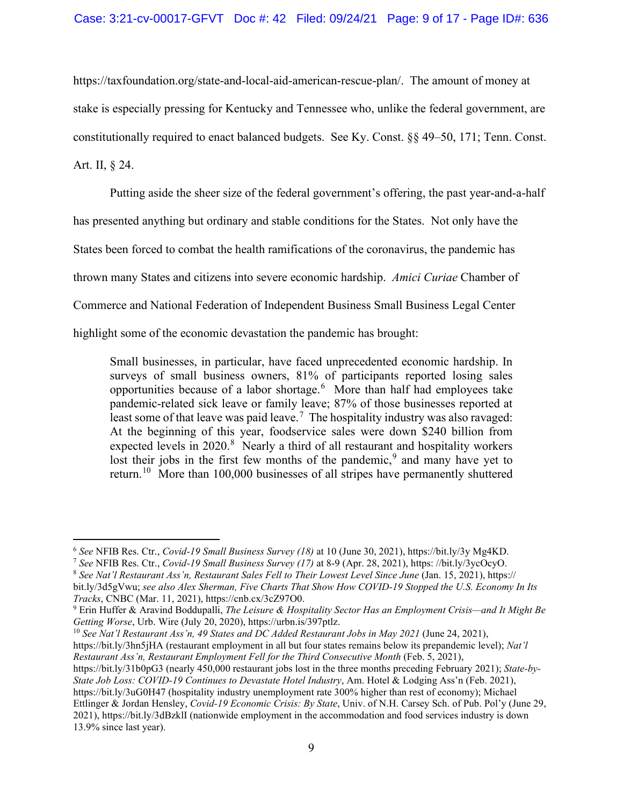https://taxfoundation.org/state-and-local-aid-american-rescue-plan/. The amount of money at stake is especially pressing for Kentucky and Tennessee who, unlike the federal government, are constitutionally required to enact balanced budgets. See Ky. Const. §§ 49–50, 171; Tenn. Const.

# Art. II, § 24.

Putting aside the sheer size of the federal government's offering, the past year-and-a-half

has presented anything but ordinary and stable conditions for the States. Not only have the

States been forced to combat the health ramifications of the coronavirus, the pandemic has

thrown many States and citizens into severe economic hardship. *Amici Curiae* Chamber of

Commerce and National Federation of Independent Business Small Business Legal Center

highlight some of the economic devastation the pandemic has brought:

Small businesses, in particular, have faced unprecedented economic hardship. In surveys of small business owners, 81% of participants reported losing sales opportunities because of a labor shortage.<sup>6</sup> More than half had employees take pandemic-related sick leave or family leave; 87% of those businesses reported at least some of that leave was paid leave.<sup>7</sup> The hospitality industry was also ravaged: At the beginning of this year, foodservice sales were down \$240 billion from expected levels in  $2020$ .<sup>8</sup> Nearly a third of all restaurant and hospitality workers lost their jobs in the first few months of the pandemic,  $9$  and many have yet to return.<sup>10</sup> More than 100,000 businesses of all stripes have permanently shuttered

https://bit.ly/3hn5jHA (restaurant employment in all but four states remains below its prepandemic level); *Nat'l Restaurant Ass'n, Restaurant Employment Fell for the Third Consecutive Month* (Feb. 5, 2021), https://bit.ly/31b0pG3 (nearly 450,000 restaurant jobs lost in the three months preceding February 2021); *State-by-State Job Loss: COVID-19 Continues to Devastate Hotel Industry*, Am. Hotel & Lodging Ass'n (Feb. 2021), https://bit.ly/3uG0H47 (hospitality industry unemployment rate 300% higher than rest of economy); Michael

Ettlinger & Jordan Hensley, *Covid-19 Economic Crisis: By State*, Univ. of N.H. Carsey Sch. of Pub. Pol'y (June 29, 2021), https://bit.ly/3dBzklI (nationwide employment in the accommodation and food services industry is down 13.9% since last year).

<sup>&</sup>lt;sup>6</sup> See NFIB Res. Ctr., Covid-19 Small Business Survey (18) at 10 (June 30, 2021), https://bit.ly/3y Mg4KD.<br><sup>7</sup> See NFIB Res. Ctr., Covid-19 Small Business Survey (17) at 8-9 (Apr. 28, 2021), https://bit.ly/3ycOcyO.<br><sup>8</sup> S

bit.ly/3d5gVwu; *see also Alex Sherman, Five Charts That Show How COVID-19 Stopped the U.S. Economy In Its Tracks*, CNBC (Mar. 11, 2021), https://cnb.cx/3cZ97O0.

<sup>9</sup> Erin Huffer & Aravind Boddupalli, *The Leisure & Hospitality Sector Has an Employment Crisis—and It Might Be Getting Worse*, Urb. Wire (July 20, 2020), https://urbn.is/397ptlz.<br><sup>10</sup> *See Nat'l Restaurant Ass'n, 49 States and DC Added Restaurant Jobs in May 2021* (June 24, 2021),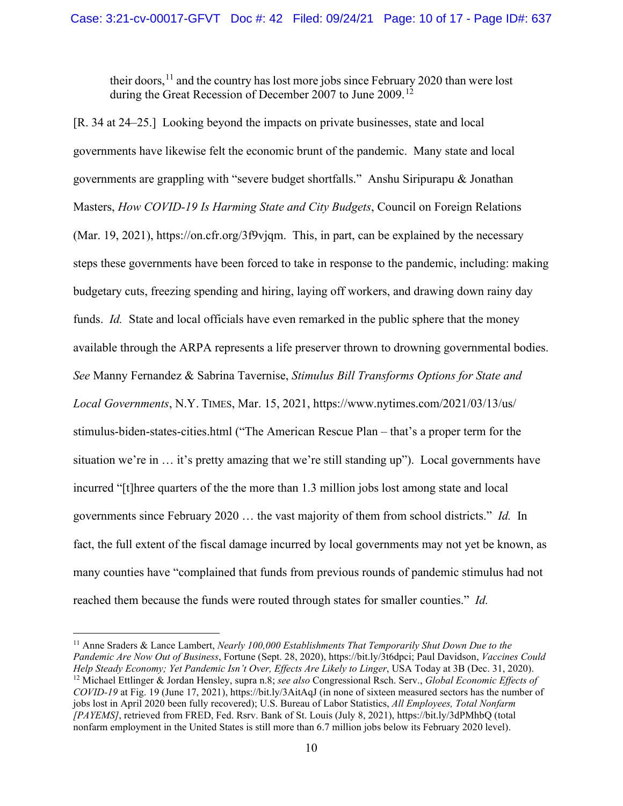their doors,  $11$  and the country has lost more jobs since February 2020 than were lost during the Great Recession of December 2007 to June 2009.<sup>12</sup>

[R. 34 at 24–25.] Looking beyond the impacts on private businesses, state and local governments have likewise felt the economic brunt of the pandemic. Many state and local governments are grappling with "severe budget shortfalls." Anshu Siripurapu & Jonathan Masters, *How COVID-19 Is Harming State and City Budgets*, Council on Foreign Relations (Mar. 19, 2021), https://on.cfr.org/3f9vjqm. This, in part, can be explained by the necessary steps these governments have been forced to take in response to the pandemic, including: making budgetary cuts, freezing spending and hiring, laying off workers, and drawing down rainy day funds. *Id.* State and local officials have even remarked in the public sphere that the money available through the ARPA represents a life preserver thrown to drowning governmental bodies. *See* Manny Fernandez & Sabrina Tavernise, *Stimulus Bill Transforms Options for State and Local Governments*, N.Y. TIMES, Mar. 15, 2021, https://www.nytimes.com/2021/03/13/us/ stimulus-biden-states-cities.html ("The American Rescue Plan – that's a proper term for the situation we're in … it's pretty amazing that we're still standing up"). Local governments have incurred "[t]hree quarters of the the more than 1.3 million jobs lost among state and local governments since February 2020 … the vast majority of them from school districts." *Id.* In fact, the full extent of the fiscal damage incurred by local governments may not yet be known, as many counties have "complained that funds from previous rounds of pandemic stimulus had not reached them because the funds were routed through states for smaller counties." *Id.* 

<sup>11</sup> Anne Sraders & Lance Lambert, *Nearly 100,000 Establishments That Temporarily Shut Down Due to the Pandemic Are Now Out of Business*, Fortune (Sept. 28, 2020), https://bit.ly/3t6dpci; Paul Davidson, *Vaccines Could Help Steady Economy; Yet Pandemic Isn't Over, Effects Are Likely to Linger*, USA Today at 3B (Dec. 31, 2020). <sup>12</sup> Michael Ettlinger & Jordan Hensley, supra n.8; *see also* Congressional Rsch. Serv., *Global Economic Effects of COVID-19* at Fig. 19 (June 17, 2021), https://bit.ly/3AitAqJ (in none of sixteen measured sectors has the number of jobs lost in April 2020 been fully recovered); U.S. Bureau of Labor Statistics, *All Employees, Total Nonfarm [PAYEMS]*, retrieved from FRED, Fed. Rsrv. Bank of St. Louis (July 8, 2021), https://bit.ly/3dPMhbQ (total nonfarm employment in the United States is still more than 6.7 million jobs below its February 2020 level).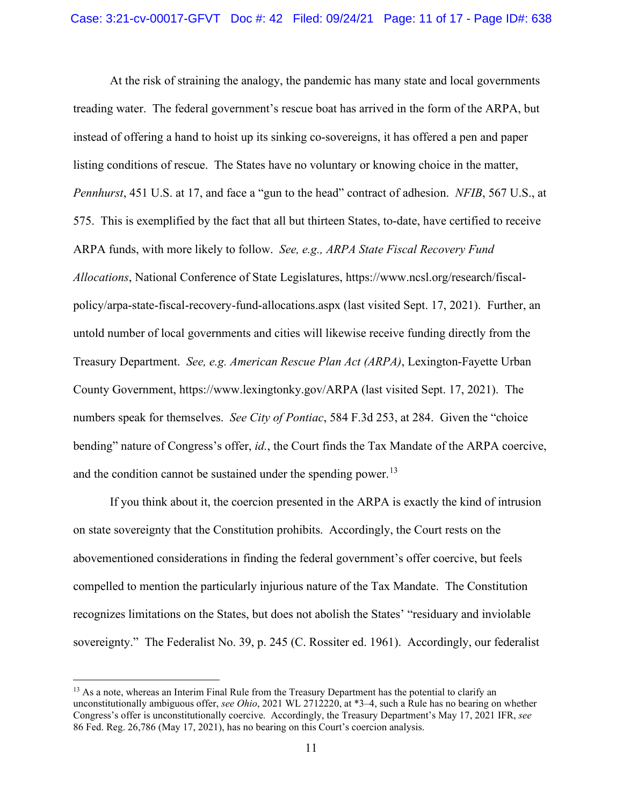At the risk of straining the analogy, the pandemic has many state and local governments treading water. The federal government's rescue boat has arrived in the form of the ARPA, but instead of offering a hand to hoist up its sinking co-sovereigns, it has offered a pen and paper listing conditions of rescue. The States have no voluntary or knowing choice in the matter, *Pennhurst*, 451 U.S. at 17, and face a "gun to the head" contract of adhesion. *NFIB*, 567 U.S., at 575. This is exemplified by the fact that all but thirteen States, to-date, have certified to receive ARPA funds, with more likely to follow. *See, e.g., ARPA State Fiscal Recovery Fund Allocations*, National Conference of State Legislatures, https://www.ncsl.org/research/fiscalpolicy/arpa-state-fiscal-recovery-fund-allocations.aspx (last visited Sept. 17, 2021). Further, an untold number of local governments and cities will likewise receive funding directly from the Treasury Department. *See, e.g. American Rescue Plan Act (ARPA)*, Lexington-Fayette Urban County Government, https://www.lexingtonky.gov/ARPA (last visited Sept. 17, 2021). The numbers speak for themselves. *See City of Pontiac*, 584 F.3d 253, at 284. Given the "choice bending" nature of Congress's offer, *id.*, the Court finds the Tax Mandate of the ARPA coercive, and the condition cannot be sustained under the spending power.<sup>13</sup>

If you think about it, the coercion presented in the ARPA is exactly the kind of intrusion on state sovereignty that the Constitution prohibits. Accordingly, the Court rests on the abovementioned considerations in finding the federal government's offer coercive, but feels compelled to mention the particularly injurious nature of the Tax Mandate. The Constitution recognizes limitations on the States, but does not abolish the States' "residuary and inviolable sovereignty." The Federalist No. 39, p. 245 (C. Rossiter ed. 1961). Accordingly, our federalist

<sup>&</sup>lt;sup>13</sup> As a note, whereas an Interim Final Rule from the Treasury Department has the potential to clarify an unconstitutionally ambiguous offer, *see Ohio*, 2021 WL 2712220, at \*3–4, such a Rule has no bearing on whether Congress's offer is unconstitutionally coercive. Accordingly, the Treasury Department's May 17, 2021 IFR, *see* 86 Fed. Reg. 26,786 (May 17, 2021), has no bearing on this Court's coercion analysis.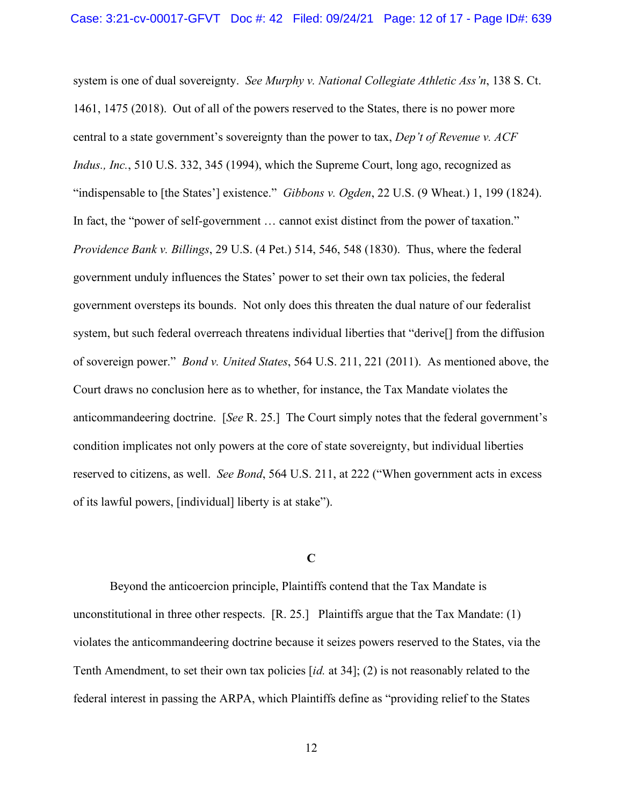system is one of dual sovereignty. *See Murphy v. National Collegiate Athletic Ass'n*, 138 S. Ct. 1461, 1475 (2018). Out of all of the powers reserved to the States, there is no power more central to a state government's sovereignty than the power to tax, *Dep't of Revenue v. ACF Indus., Inc.*, 510 U.S. 332, 345 (1994), which the Supreme Court, long ago, recognized as "indispensable to [the States'] existence." *Gibbons v. Ogden*, 22 U.S. (9 Wheat.) 1, 199 (1824). In fact, the "power of self-government ... cannot exist distinct from the power of taxation." *Providence Bank v. Billings*, 29 U.S. (4 Pet.) 514, 546, 548 (1830). Thus, where the federal government unduly influences the States' power to set their own tax policies, the federal government oversteps its bounds. Not only does this threaten the dual nature of our federalist system, but such federal overreach threatens individual liberties that "derive[] from the diffusion of sovereign power." *Bond v. United States*, 564 U.S. 211, 221 (2011). As mentioned above, the Court draws no conclusion here as to whether, for instance, the Tax Mandate violates the anticommandeering doctrine. [*See* R. 25.] The Court simply notes that the federal government's condition implicates not only powers at the core of state sovereignty, but individual liberties reserved to citizens, as well. *See Bond*, 564 U.S. 211, at 222 ("When government acts in excess of its lawful powers, [individual] liberty is at stake").

# **C**

Beyond the anticoercion principle, Plaintiffs contend that the Tax Mandate is unconstitutional in three other respects. [R. 25.] Plaintiffs argue that the Tax Mandate: (1) violates the anticommandeering doctrine because it seizes powers reserved to the States, via the Tenth Amendment, to set their own tax policies [*id.* at 34]; (2) is not reasonably related to the federal interest in passing the ARPA, which Plaintiffs define as "providing relief to the States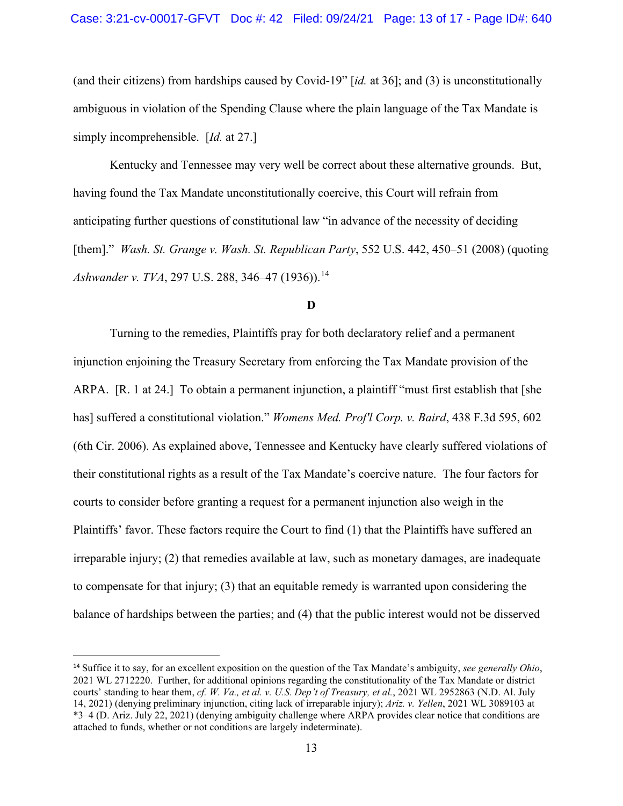(and their citizens) from hardships caused by Covid-19" [*id.* at 36]; and (3) is unconstitutionally ambiguous in violation of the Spending Clause where the plain language of the Tax Mandate is simply incomprehensible. [*Id.* at 27.]

Kentucky and Tennessee may very well be correct about these alternative grounds. But, having found the Tax Mandate unconstitutionally coercive, this Court will refrain from anticipating further questions of constitutional law "in advance of the necessity of deciding [them]." *Wash. St. Grange v. Wash. St. Republican Party*, 552 U.S. 442, 450–51 (2008) (quoting *Ashwander v. TVA, 297 U.S. 288, 346–47 (1936)).*<sup>14</sup>

### **D**

Turning to the remedies, Plaintiffs pray for both declaratory relief and a permanent injunction enjoining the Treasury Secretary from enforcing the Tax Mandate provision of the ARPA. [R. 1 at 24.] To obtain a permanent injunction, a plaintiff "must first establish that [she has] suffered a constitutional violation." *Womens Med. Prof'l Corp. v. Baird*, 438 F.3d 595, 602 (6th Cir. 2006). As explained above, Tennessee and Kentucky have clearly suffered violations of their constitutional rights as a result of the Tax Mandate's coercive nature. The four factors for courts to consider before granting a request for a permanent injunction also weigh in the Plaintiffs' favor. These factors require the Court to find (1) that the Plaintiffs have suffered an irreparable injury; (2) that remedies available at law, such as monetary damages, are inadequate to compensate for that injury; (3) that an equitable remedy is warranted upon considering the balance of hardships between the parties; and (4) that the public interest would not be disserved

<sup>14</sup> Suffice it to say, for an excellent exposition on the question of the Tax Mandate's ambiguity, *see generally Ohio*, 2021 WL 2712220. Further, for additional opinions regarding the constitutionality of the Tax Mandate or district courts' standing to hear them, *cf. W. Va., et al. v. U.S. Dep't of Treasury, et al.*, 2021 WL 2952863 (N.D. Al. July 14, 2021) (denying preliminary injunction, citing lack of irreparable injury); *Ariz. v. Yellen*, 2021 WL 3089103 at \*3–4 (D. Ariz. July 22, 2021) (denying ambiguity challenge where ARPA provides clear notice that conditions are attached to funds, whether or not conditions are largely indeterminate).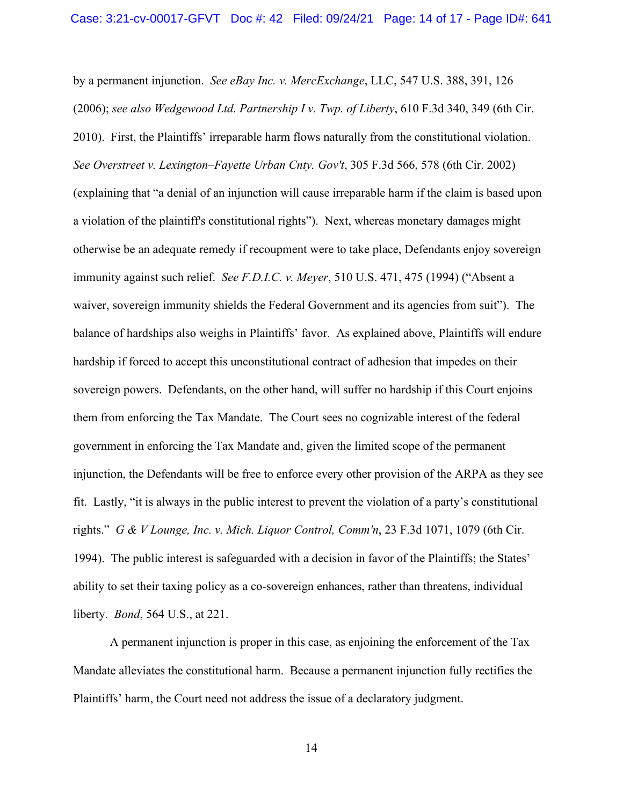by a permanent injunction. *See eBay Inc. v. MercExchange*, LLC, 547 U.S. 388, 391, 126 (2006); *see also Wedgewood Ltd. Partnership I v. Twp. of Liberty*, 610 F.3d 340, 349 (6th Cir. 2010). First, the Plaintiffs' irreparable harm flows naturally from the constitutional violation. *See Overstreet v. Lexington–Fayette Urban Cnty. Gov't*, 305 F.3d 566, 578 (6th Cir. 2002) (explaining that "a denial of an injunction will cause irreparable harm if the claim is based upon a violation of the plaintiff's constitutional rights"). Next, whereas monetary damages might otherwise be an adequate remedy if recoupment were to take place, Defendants enjoy sovereign immunity against such relief. *See F.D.I.C. v. Meyer*, 510 U.S. 471, 475 (1994) ("Absent a waiver, sovereign immunity shields the Federal Government and its agencies from suit"). The balance of hardships also weighs in Plaintiffs' favor. As explained above, Plaintiffs will endure hardship if forced to accept this unconstitutional contract of adhesion that impedes on their sovereign powers. Defendants, on the other hand, will suffer no hardship if this Court enjoins them from enforcing the Tax Mandate. The Court sees no cognizable interest of the federal government in enforcing the Tax Mandate and, given the limited scope of the permanent injunction, the Defendants will be free to enforce every other provision of the ARPA as they see fit. Lastly, "it is always in the public interest to prevent the violation of a party's constitutional rights." *G & V Lounge, Inc. v. Mich. Liquor Control, Comm'n*, 23 F.3d 1071, 1079 (6th Cir. 1994). The public interest is safeguarded with a decision in favor of the Plaintiffs; the States' ability to set their taxing policy as a co-sovereign enhances, rather than threatens, individual liberty. *Bond*, 564 U.S., at 221.

A permanent injunction is proper in this case, as enjoining the enforcement of the Tax Mandate alleviates the constitutional harm. Because a permanent injunction fully rectifies the Plaintiffs' harm, the Court need not address the issue of a declaratory judgment.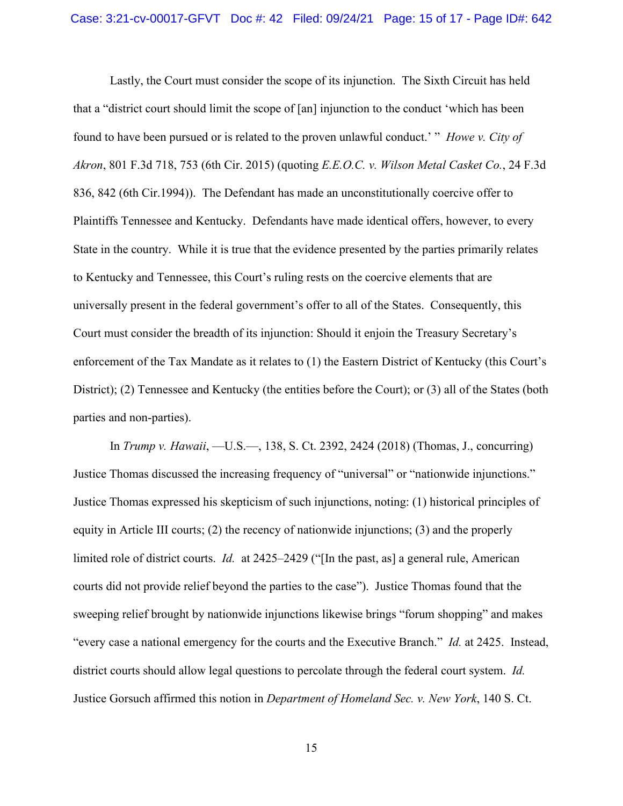Lastly, the Court must consider the scope of its injunction. The Sixth Circuit has held that a "district court should limit the scope of [an] injunction to the conduct 'which has been found to have been pursued or is related to the proven unlawful conduct.' " *Howe v. City of Akron*, 801 F.3d 718, 753 (6th Cir. 2015) (quoting *E.E.O.C. v. Wilson Metal Casket Co.*, 24 F.3d 836, 842 (6th Cir.1994)). The Defendant has made an unconstitutionally coercive offer to Plaintiffs Tennessee and Kentucky. Defendants have made identical offers, however, to every State in the country. While it is true that the evidence presented by the parties primarily relates to Kentucky and Tennessee, this Court's ruling rests on the coercive elements that are universally present in the federal government's offer to all of the States. Consequently, this Court must consider the breadth of its injunction: Should it enjoin the Treasury Secretary's enforcement of the Tax Mandate as it relates to (1) the Eastern District of Kentucky (this Court's District); (2) Tennessee and Kentucky (the entities before the Court); or (3) all of the States (both parties and non-parties).

In *Trump v. Hawaii*, —U.S.—, 138, S. Ct. 2392, 2424 (2018) (Thomas, J., concurring) Justice Thomas discussed the increasing frequency of "universal" or "nationwide injunctions." Justice Thomas expressed his skepticism of such injunctions, noting: (1) historical principles of equity in Article III courts; (2) the recency of nationwide injunctions; (3) and the properly limited role of district courts. *Id.* at 2425–2429 ("[In the past, as] a general rule, American courts did not provide relief beyond the parties to the case"). Justice Thomas found that the sweeping relief brought by nationwide injunctions likewise brings "forum shopping" and makes "every case a national emergency for the courts and the Executive Branch." *Id.* at 2425. Instead, district courts should allow legal questions to percolate through the federal court system. *Id.* Justice Gorsuch affirmed this notion in *Department of Homeland Sec. v. New York*, 140 S. Ct.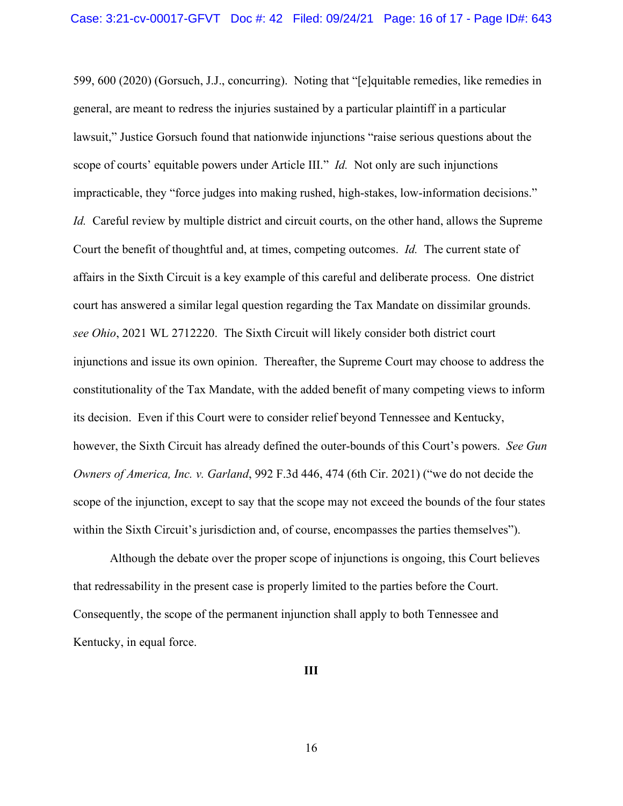599, 600 (2020) (Gorsuch, J.J., concurring). Noting that "[e]quitable remedies, like remedies in general, are meant to redress the injuries sustained by a particular plaintiff in a particular lawsuit," Justice Gorsuch found that nationwide injunctions "raise serious questions about the scope of courts' equitable powers under Article III." *Id.* Not only are such injunctions impracticable, they "force judges into making rushed, high-stakes, low-information decisions." *Id.* Careful review by multiple district and circuit courts, on the other hand, allows the Supreme Court the benefit of thoughtful and, at times, competing outcomes. *Id.* The current state of affairs in the Sixth Circuit is a key example of this careful and deliberate process. One district court has answered a similar legal question regarding the Tax Mandate on dissimilar grounds. *see Ohio*, 2021 WL 2712220. The Sixth Circuit will likely consider both district court injunctions and issue its own opinion. Thereafter, the Supreme Court may choose to address the constitutionality of the Tax Mandate, with the added benefit of many competing views to inform its decision. Even if this Court were to consider relief beyond Tennessee and Kentucky, however, the Sixth Circuit has already defined the outer-bounds of this Court's powers. *See Gun Owners of America, Inc. v. Garland*, 992 F.3d 446, 474 (6th Cir. 2021) ("we do not decide the scope of the injunction, except to say that the scope may not exceed the bounds of the four states within the Sixth Circuit's jurisdiction and, of course, encompasses the parties themselves").

Although the debate over the proper scope of injunctions is ongoing, this Court believes that redressability in the present case is properly limited to the parties before the Court. Consequently, the scope of the permanent injunction shall apply to both Tennessee and Kentucky, in equal force.

**III**